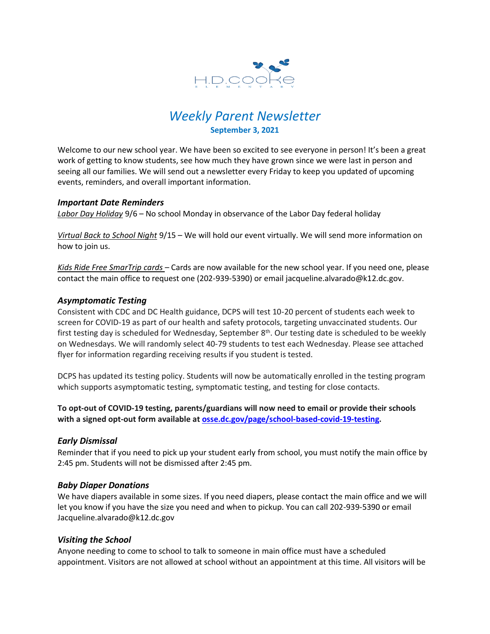

# *Weekly Parent Newsletter* **September 3, 2021**

Welcome to our new school year. We have been so excited to see everyone in person! It's been a great work of getting to know students, see how much they have grown since we were last in person and seeing all our families. We will send out a newsletter every Friday to keep you updated of upcoming events, reminders, and overall important information.

## *Important Date Reminders*

*Labor Day Holiday* 9/6 – No school Monday in observance of the Labor Day federal holiday

*Virtual Back to School Night* 9/15 – We will hold our event virtually. We will send more information on how to join us.

*Kids Ride Free SmarTrip cards* – Cards are now available for the new school year. If you need one, please contact the main office to request one (202-939-5390) or email jacqueline.alvarado@k12.dc.gov.

## *Asymptomatic Testing*

Consistent with CDC and DC Health guidance, DCPS will test 10-20 percent of students each week to screen for COVID-19 as part of our health and safety protocols, targeting unvaccinated students. Our first testing day is scheduled for Wednesday, September 8<sup>th</sup>. Our testing date is scheduled to be weekly on Wednesdays. We will randomly select 40-79 students to test each Wednesday. Please see attached flyer for information regarding receiving results if you student is tested.

DCPS has updated its testing policy. Students will now be automatically enrolled in the testing program which supports asymptomatic testing, symptomatic testing, and testing for close contacts.

**To opt-out of COVID-19 testing, parents/guardians will now need to email or provide their schools with a signed opt-out form available at [osse.dc.gov/page/school-based-covid-19-testing.](https://t.e2ma.net/click/13ld3h/txjdumd/d9dggqc)**

#### *Early Dismissal*

Reminder that if you need to pick up your student early from school, you must notify the main office by 2:45 pm. Students will not be dismissed after 2:45 pm.

#### *Baby Diaper Donations*

We have diapers available in some sizes. If you need diapers, please contact the main office and we will let you know if you have the size you need and when to pickup. You can call 202-939-5390 or email Jacqueline.alvarado@k12.dc.gov

# *Visiting the School*

Anyone needing to come to school to talk to someone in main office must have a scheduled appointment. Visitors are not allowed at school without an appointment at this time. All visitors will be